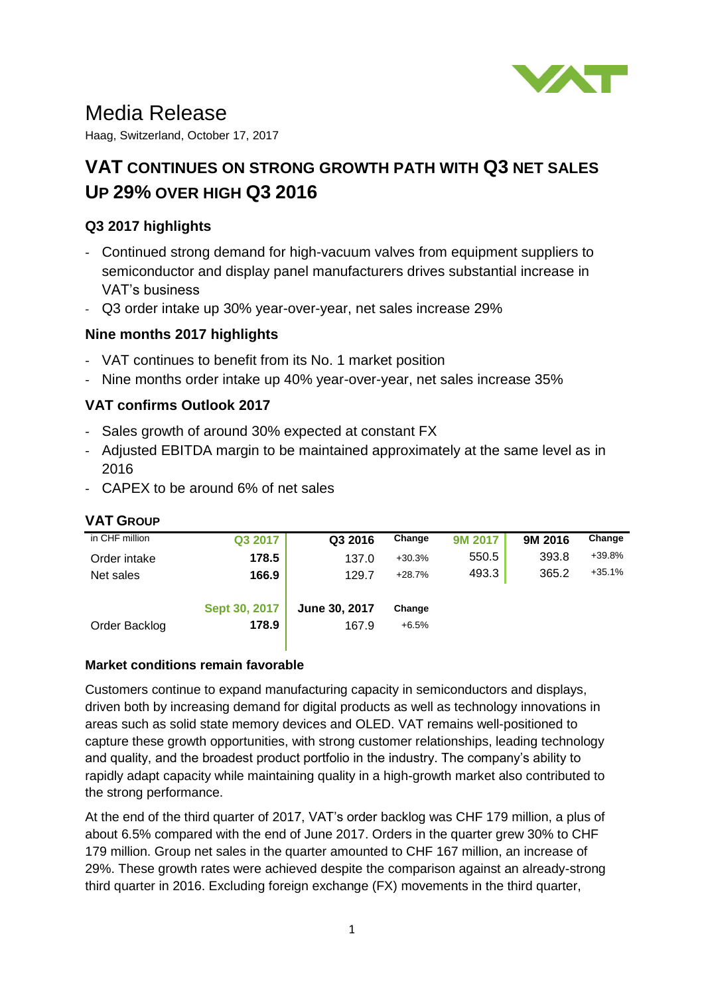

# Media Release

Haag, Switzerland, October 17, 2017

## **VAT CONTINUES ON STRONG GROWTH PATH WITH Q3 NET SALES UP 29% OVER HIGH Q3 2016**

## **Q3 2017 highlights**

- Continued strong demand for high-vacuum valves from equipment suppliers to semiconductor and display panel manufacturers drives substantial increase in VAT's business
- Q3 order intake up 30% year-over-year, net sales increase 29%

## **Nine months 2017 highlights**

- VAT continues to benefit from its No. 1 market position
- Nine months order intake up 40% year-over-year, net sales increase 35%

## **VAT confirms Outlook 2017**

- Sales growth of around 30% expected at constant FX
- Adjusted EBITDA margin to be maintained approximately at the same level as in 2016
- CAPEX to be around 6% of net sales

## **VAT GROUP**

| in CHF million | Q3 2017       | Q3 2016       | Change   | 9M 2017 | 9M 2016 | Change   |
|----------------|---------------|---------------|----------|---------|---------|----------|
| Order intake   | 178.5         | 137.0         | $+30.3%$ | 550.5   | 393.8   | +39.8%   |
| Net sales      | 166.9         | 129.7         | $+28.7%$ | 493.3   | 365.2   | $+35.1%$ |
|                |               |               |          |         |         |          |
|                | Sept 30, 2017 | June 30, 2017 | Change   |         |         |          |
| Order Backlog  | 178.9         | 167.9         | $+6.5%$  |         |         |          |
|                |               |               |          |         |         |          |

#### **Market conditions remain favorable**

Customers continue to expand manufacturing capacity in semiconductors and displays, driven both by increasing demand for digital products as well as technology innovations in areas such as solid state memory devices and OLED. VAT remains well-positioned to capture these growth opportunities, with strong customer relationships, leading technology and quality, and the broadest product portfolio in the industry. The company's ability to rapidly adapt capacity while maintaining quality in a high-growth market also contributed to the strong performance.

At the end of the third quarter of 2017, VAT's order backlog was CHF 179 million, a plus of about 6.5% compared with the end of June 2017. Orders in the quarter grew 30% to CHF 179 million. Group net sales in the quarter amounted to CHF 167 million, an increase of 29%. These growth rates were achieved despite the comparison against an already-strong third quarter in 2016. Excluding foreign exchange (FX) movements in the third quarter,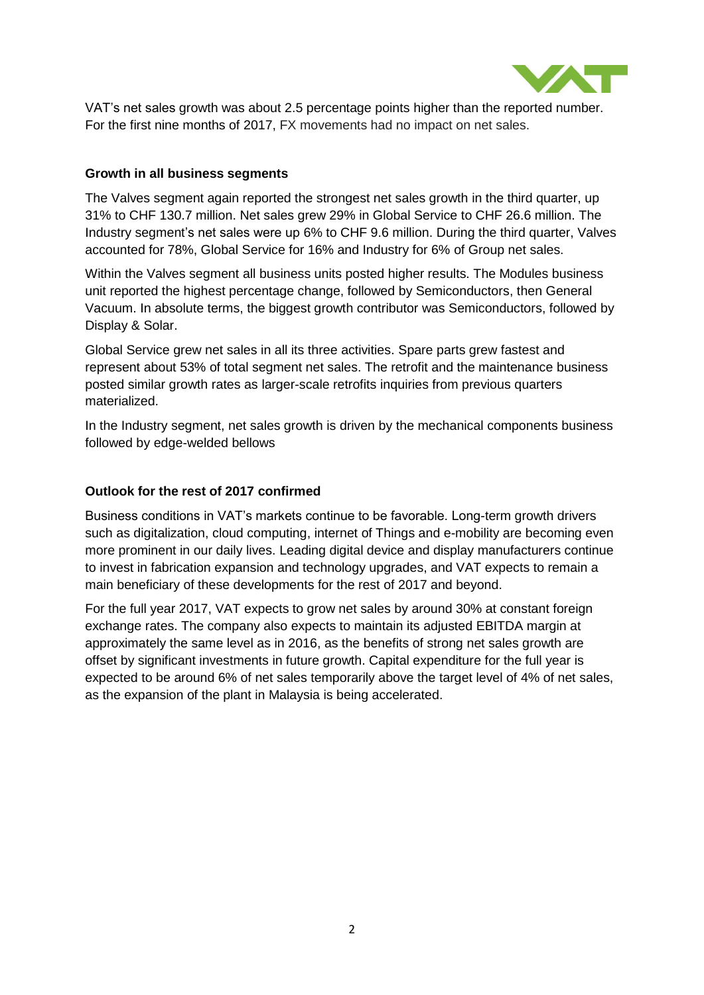

VAT's net sales growth was about 2.5 percentage points higher than the reported number. For the first nine months of 2017, FX movements had no impact on net sales.

## **Growth in all business segments**

The Valves segment again reported the strongest net sales growth in the third quarter, up 31% to CHF 130.7 million. Net sales grew 29% in Global Service to CHF 26.6 million. The Industry segment's net sales were up 6% to CHF 9.6 million. During the third quarter, Valves accounted for 78%, Global Service for 16% and Industry for 6% of Group net sales.

Within the Valves segment all business units posted higher results. The Modules business unit reported the highest percentage change, followed by Semiconductors, then General Vacuum. In absolute terms, the biggest growth contributor was Semiconductors, followed by Display & Solar.

Global Service grew net sales in all its three activities. Spare parts grew fastest and represent about 53% of total segment net sales. The retrofit and the maintenance business posted similar growth rates as larger-scale retrofits inquiries from previous quarters materialized.

In the Industry segment, net sales growth is driven by the mechanical components business followed by edge-welded bellows

## **Outlook for the rest of 2017 confirmed**

Business conditions in VAT's markets continue to be favorable. Long-term growth drivers such as digitalization, cloud computing, internet of Things and e-mobility are becoming even more prominent in our daily lives. Leading digital device and display manufacturers continue to invest in fabrication expansion and technology upgrades, and VAT expects to remain a main beneficiary of these developments for the rest of 2017 and beyond.

For the full year 2017, VAT expects to grow net sales by around 30% at constant foreign exchange rates. The company also expects to maintain its adjusted EBITDA margin at approximately the same level as in 2016, as the benefits of strong net sales growth are offset by significant investments in future growth. Capital expenditure for the full year is expected to be around 6% of net sales temporarily above the target level of 4% of net sales, as the expansion of the plant in Malaysia is being accelerated.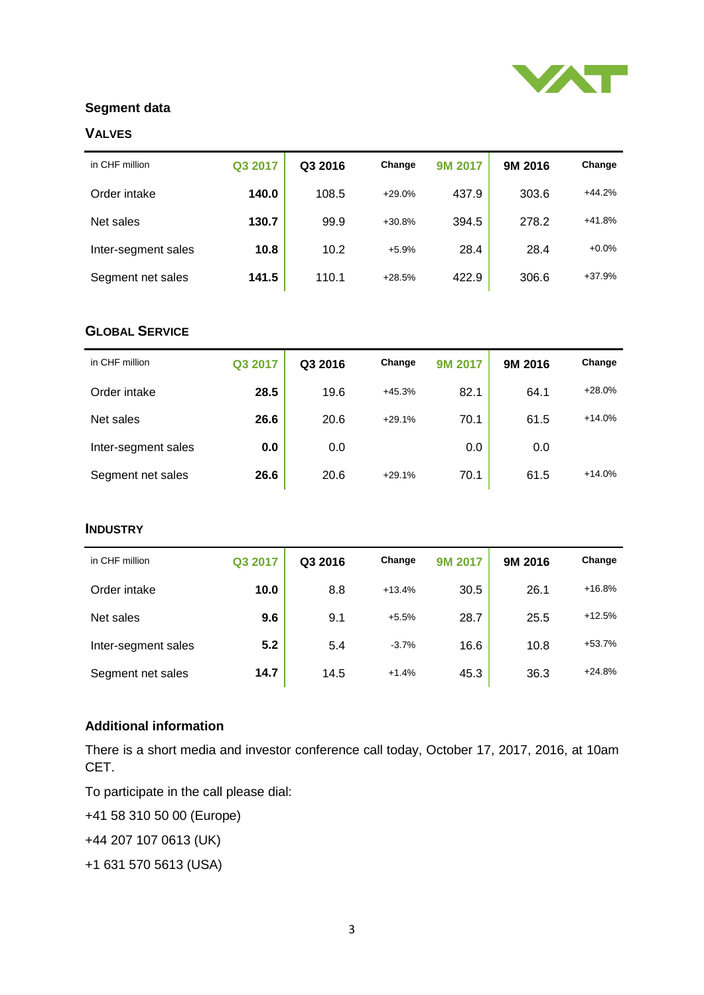

## **Segment data**

## **VALVES**

| in CHF million      | Q3 2017 | Q3 2016 | Change   | 9M 2017 | 9M 2016 | Change   |
|---------------------|---------|---------|----------|---------|---------|----------|
| Order intake        | 140.0   | 108.5   | $+29.0%$ | 437.9   | 303.6   | $+44.2%$ |
| Net sales           | 130.7   | 99.9    | $+30.8%$ | 394.5   | 278.2   | $+41.8%$ |
| Inter-segment sales | 10.8    | 10.2    | $+5.9%$  | 28.4    | 28.4    | $+0.0%$  |
| Segment net sales   | 141.5   | 110.1   | $+28.5%$ | 422.9   | 306.6   | $+37.9%$ |

## **GLOBAL SERVICE**

| in CHF million      | Q3 2017 | Q3 2016 | Change   | <b>9M 2017</b> | 9M 2016 | Change   |
|---------------------|---------|---------|----------|----------------|---------|----------|
| Order intake        | 28.5    | 19.6    | $+45.3%$ | 82.1           | 64.1    | $+28.0%$ |
| Net sales           | 26.6    | 20.6    | $+29.1%$ | 70.1           | 61.5    | $+14.0%$ |
| Inter-segment sales | 0.0     | 0.0     |          | 0.0            | 0.0     |          |
| Segment net sales   | 26.6    | 20.6    | $+29.1%$ | 70.1           | 61.5    | $+14.0%$ |

#### **INDUSTRY**

| in CHF million      | Q3 2017 | Q3 2016 | Change   | 9M 2017 | 9M 2016 | Change   |
|---------------------|---------|---------|----------|---------|---------|----------|
|                     |         |         | $+13.4%$ |         |         | $+16.8%$ |
| Order intake        | 10.0    | 8.8     |          | 30.5    | 26.1    |          |
| Net sales           | 9.6     | 9.1     | $+5.5%$  | 28.7    | 25.5    | $+12.5%$ |
| Inter-segment sales | 5.2     | 5.4     | $-3.7%$  | 16.6    | 10.8    | $+53.7%$ |
| Segment net sales   | 14.7    | 14.5    | $+1.4%$  | 45.3    | 36.3    | $+24.8%$ |

## **Additional information**

There is a short media and investor conference call today, October 17, 2017, 2016, at 10am CET.

To participate in the call please dial:

+41 58 310 50 00 (Europe)

+44 207 107 0613 (UK)

+1 631 570 5613 (USA)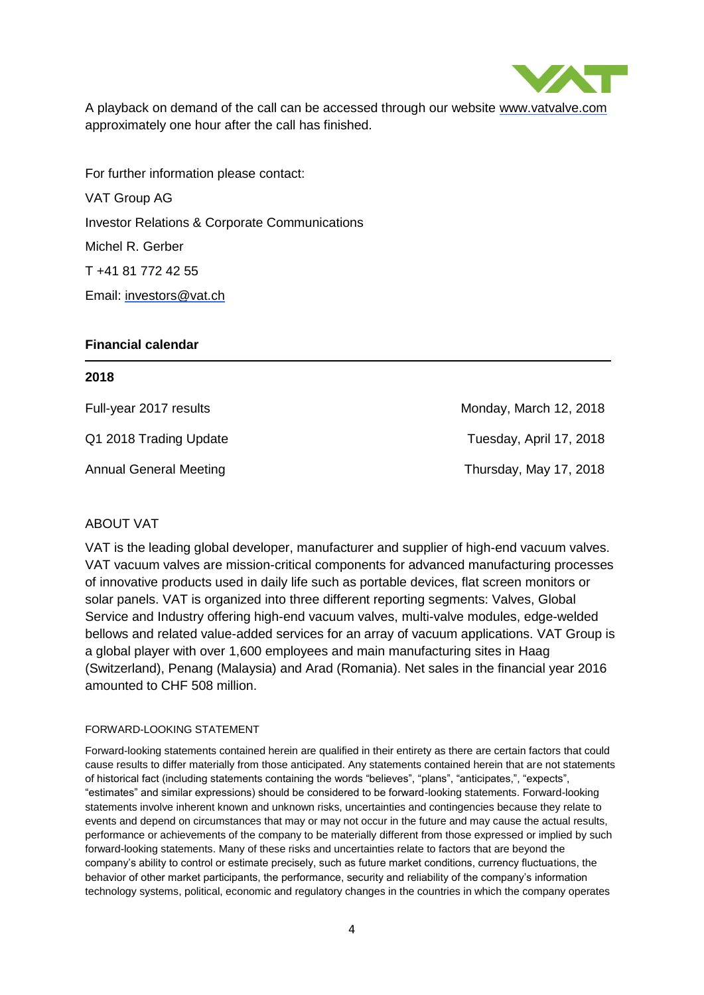

A playback on demand of the call can be accessed through our website [www.vatvalve.com](http://www.vatvalve.com/) approximately one hour after the call has finished.

For further information please contact: VAT Group AG Investor Relations & Corporate Communications Michel R. Gerber T +41 81 772 42 55 Email: [investors@vat.ch](mailto:investors@vat.ch)

#### **Financial calendar**

#### **2018**

Full-year 2017 results Monday, March 12, 2018

Q1 2018 Trading Update Tuesday, April 17, 2018 Annual General Meeting Thursday, May 17, 2018

#### ABOUT VAT

VAT is the leading global developer, manufacturer and supplier of high-end vacuum valves. VAT vacuum valves are mission-critical components for advanced manufacturing processes of innovative products used in daily life such as portable devices, flat screen monitors or solar panels. VAT is organized into three different reporting segments: Valves, Global Service and Industry offering high-end vacuum valves, multi-valve modules, edge-welded bellows and related value-added services for an array of vacuum applications. VAT Group is a global player with over 1,600 employees and main manufacturing sites in Haag (Switzerland), Penang (Malaysia) and Arad (Romania). Net sales in the financial year 2016 amounted to CHF 508 million.

#### FORWARD-LOOKING STATEMENT

Forward-looking statements contained herein are qualified in their entirety as there are certain factors that could cause results to differ materially from those anticipated. Any statements contained herein that are not statements of historical fact (including statements containing the words "believes", "plans", "anticipates,", "expects", "estimates" and similar expressions) should be considered to be forward-looking statements. Forward-looking statements involve inherent known and unknown risks, uncertainties and contingencies because they relate to events and depend on circumstances that may or may not occur in the future and may cause the actual results, performance or achievements of the company to be materially different from those expressed or implied by such forward-looking statements. Many of these risks and uncertainties relate to factors that are beyond the company's ability to control or estimate precisely, such as future market conditions, currency fluctuations, the behavior of other market participants, the performance, security and reliability of the company's information technology systems, political, economic and regulatory changes in the countries in which the company operates